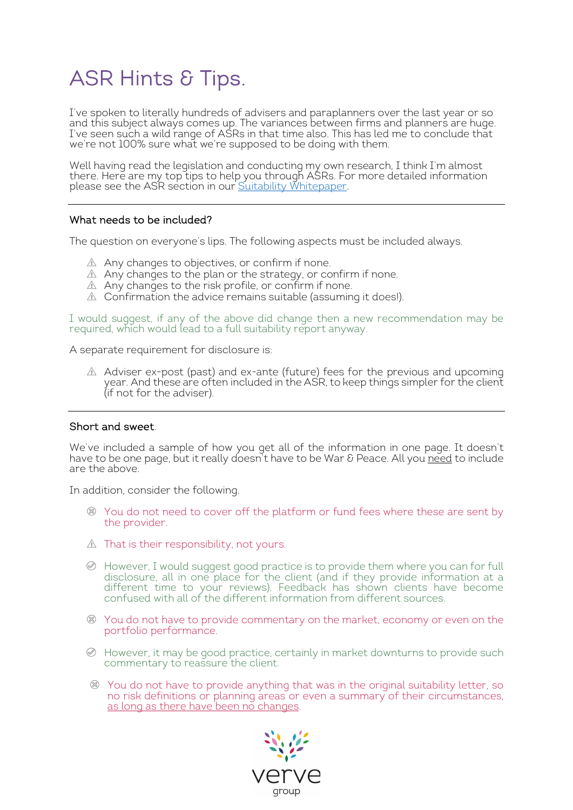# ASR Hints & Tips.

I've spoken to literally hundreds of advisers and paraplanners over the last year or so and this subject always comes up. The variances between firms and planners are huge. I've seen such a wild range of ASRs in that time also. This has led me to conclude that we're not 100% sure what we're supposed to be doing with them.

Well having read the legislation and conducting my own research, I think I'm almost there. Here are my top tips to help you through ASRs. For more detailed information please see the ASR section in our <u>Suitability Whitepaper</u>.

#### What needs to be included?

The question on everyone's lips. The following aspects must be included always.

- $\mathbb A$  Any changes to objectives, or confirm if none.
- $\mathbb A$  Any changes to the plan or the strategy, or confirm if none.
- $\mathbb A$  Any changes to the risk profile, or confirm if none.
- $\triangle$  Confirmation the advice remains suitable (assuming it does!).

I would suggest, if any of the above did change then a new recommendation may be required, which would lead to a full suitability report anyway.

A separate requirement for disclosure is:

Adviser ex-post (past) and ex-ante (future) fees for the previous and upcoming year. And these are often included in the ASR, to keep things simpler for the client<br>(if not for the adviser).

#### Short and sweet.

We've included a sample of how you get all of the information in one page. It doesn't have to be one page, but it really doesn't have to be War & Peace. All you <u>need</u> to include are the above.

In addition, consider the following.

- You do not need to cover off the platform or fund fees where these are sent by the provider.
- $\triangle$  That is their responsibility, not yours.
- $\oslash$  However, I would suggest good practice is to provide them where you can for full disclosure, all in one place for the client (and if they provide information at a different time to your reviews). Feedback has shown clients have become confused with all of the different information from different sources.
- You do not have to provide commentary on the market, economy or even on the portfolio performance.
- However, it may be good practice, certainly in market downturns to provide such commentary to reassure the client.
- You do not have to provide anything that was in the original suitability letter, so no risk definitions or planning areas or even a summary of their circumstances, as long as there have been no changes.